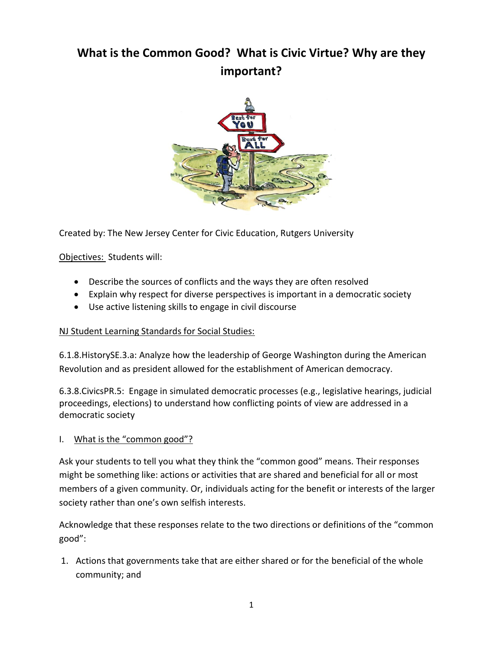# **What is the Common Good? What is Civic Virtue? Why are they important?**



Created by: The New Jersey Center for Civic Education, Rutgers University

Objectives: Students will:

- Describe the sources of conflicts and the ways they are often resolved
- Explain why respect for diverse perspectives is important in a democratic society
- Use active listening skills to engage in civil discourse

#### NJ Student Learning Standards for Social Studies:

6.1.8.HistorySE.3.a: Analyze how the leadership of George Washington during the American Revolution and as president allowed for the establishment of American democracy.

6.3.8.CivicsPR.5: Engage in simulated democratic processes (e.g., legislative hearings, judicial proceedings, elections) to understand how conflicting points of view are addressed in a democratic society

### I. What is the "common good"?

Ask your students to tell you what they think the "common good" means. Their responses might be something like: actions or activities that are shared and beneficial for all or most members of a given community. Or, individuals acting for the benefit or interests of the larger society rather than one's own selfish interests.

Acknowledge that these responses relate to the two directions or definitions of the "common good":

1. Actions that governments take that are either shared or for the beneficial of the whole community; and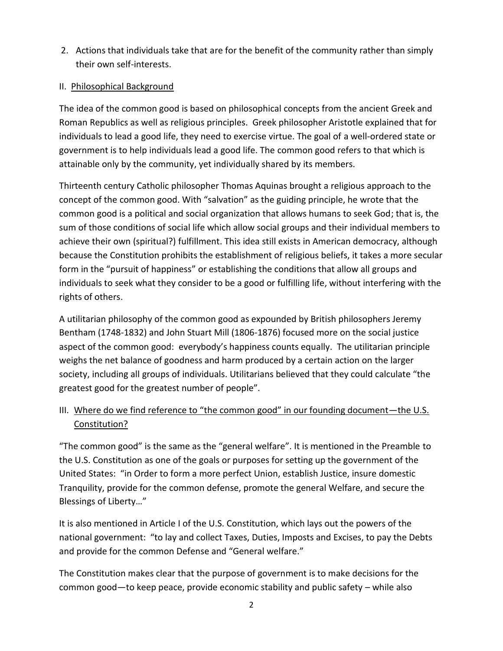2. Actions that individuals take that are for the benefit of the community rather than simply their own self-interests.

### II. Philosophical Background

The idea of the common good is based on philosophical concepts from the ancient Greek and Roman Republics as well as religious principles. Greek philosopher Aristotle explained that for individuals to lead a good life, they need to exercise virtue. The goal of a well-ordered state or government is to help individuals lead a good life. The common good refers to that which is attainable only by the community, yet individually shared by its members.

Thirteenth century Catholic philosopher Thomas Aquinas brought a religious approach to the concept of the common good. With "salvation" as the guiding principle, he wrote that the common good is a political and social organization that allows humans to seek God; that is, the sum of those conditions of social life which allow social groups and their individual members to achieve their own (spiritual?) fulfillment. This idea still exists in American democracy, although because the Constitution prohibits the establishment of religious beliefs, it takes a more secular form in the "pursuit of happiness" or establishing the conditions that allow all groups and individuals to seek what they consider to be a good or fulfilling life, without interfering with the rights of others.

A utilitarian philosophy of the common good as expounded by British philosophers Jeremy Bentham (1748-1832) and John Stuart Mill (1806-1876) focused more on the social justice aspect of the common good: everybody's happiness counts equally. The utilitarian principle weighs the net balance of goodness and harm produced by a certain action on the larger society, including all groups of individuals. Utilitarians believed that they could calculate "the greatest good for the greatest number of people".

## III. Where do we find reference to "the common good" in our founding document—the U.S. Constitution?

"The common good" is the same as the "general welfare". It is mentioned in the Preamble to the U.S. Constitution as one of the goals or purposes for setting up the government of the United States: "in Order to form a more perfect Union, establish Justice, insure domestic Tranquility, provide for the common defense, promote the general Welfare, and secure the Blessings of Liberty…"

It is also mentioned in Article I of the U.S. Constitution, which lays out the powers of the national government: "to lay and collect Taxes, Duties, Imposts and Excises, to pay the Debts and provide for the common Defense and "General welfare."

The Constitution makes clear that the purpose of government is to make decisions for the common good—to keep peace, provide economic stability and public safety – while also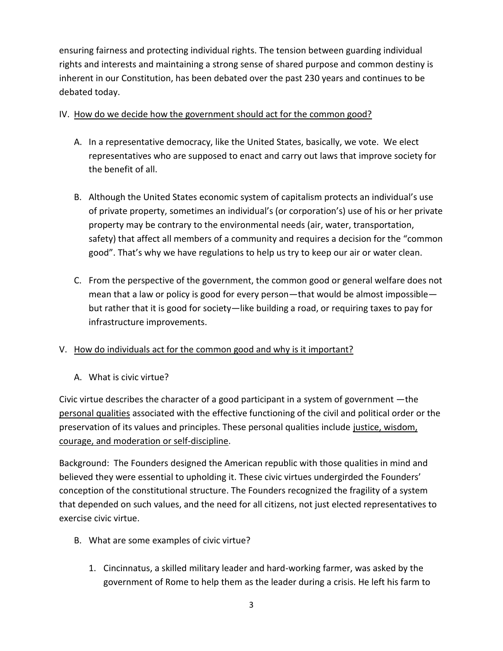ensuring fairness and protecting individual rights. The tension between guarding individual rights and interests and maintaining a strong sense of shared purpose and common destiny is inherent in our Constitution, has been debated over the past 230 years and continues to be debated today.

### IV. How do we decide how the government should act for the common good?

- A. In a representative democracy, like the United States, basically, we vote. We elect representatives who are supposed to enact and carry out laws that improve society for the benefit of all.
- B. Although the United States economic system of capitalism protects an individual's use of private property, sometimes an individual's (or corporation's) use of his or her private property may be contrary to the environmental needs (air, water, transportation, safety) that affect all members of a community and requires a decision for the "common good". That's why we have regulations to help us try to keep our air or water clean.
- C. From the perspective of the government, the common good or general welfare does not mean that a law or policy is good for every person—that would be almost impossible but rather that it is good for society—like building a road, or requiring taxes to pay for infrastructure improvements.

### V. How do individuals act for the common good and why is it important?

A. What is civic virtue?

Civic virtue describes the character of a good participant in a system of government —the personal qualities associated with the effective functioning of the civil and political order or the preservation of its values and principles. These personal qualities include justice, wisdom, courage, and moderation or self-discipline.

Background: The Founders designed the American republic with those qualities in mind and believed they were essential to upholding it. These civic virtues undergirded the Founders' conception of the constitutional structure. The Founders recognized the fragility of a system that depended on such values, and the need for all citizens, not just elected representatives to exercise civic virtue.

- B. What are some examples of civic virtue?
	- 1. Cincinnatus, a skilled military leader and hard-working farmer, was asked by the government of Rome to help them as the leader during a crisis. He left his farm to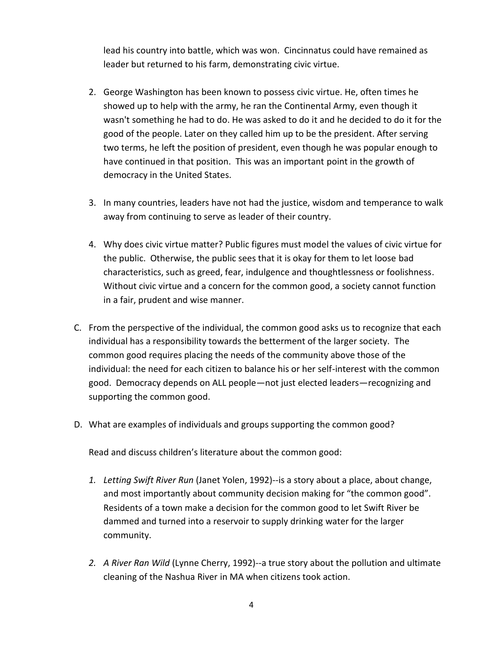lead his country into battle, which was won. Cincinnatus could have remained as leader but returned to his farm, demonstrating civic virtue.

- 2. George Washington has been known to possess civic virtue. He, often times he showed up to help with the army, he ran the Continental Army, even though it wasn't something he had to do. He was asked to do it and he decided to do it for the good of the people. Later on they called him up to be the president. After serving two terms, he left the position of president, even though he was popular enough to have continued in that position. This was an important point in the growth of democracy in the United States.
- 3. In many countries, leaders have not had the justice, wisdom and temperance to walk away from continuing to serve as leader of their country.
- 4. Why does civic virtue matter? Public figures must model the values of civic virtue for the public. Otherwise, the public sees that it is okay for them to let loose bad characteristics, such as greed, fear, indulgence and thoughtlessness or foolishness. Without civic virtue and a concern for the common good, a society cannot function in a fair, prudent and wise manner.
- C. From the perspective of the individual, the common good asks us to recognize that each individual has a responsibility towards the betterment of the larger society. The common good requires placing the needs of the community above those of the individual: the need for each citizen to balance his or her self-interest with the common good. Democracy depends on ALL people—not just elected leaders—recognizing and supporting the common good.
- D. What are examples of individuals and groups supporting the common good?

Read and discuss children's literature about the common good:

- *1. Letting Swift River Run* (Janet Yolen, 1992)--is a story about a place, about change, and most importantly about community decision making for "the common good". Residents of a town make a decision for the common good to let Swift River be dammed and turned into a reservoir to supply drinking water for the larger community.
- *2. A River Ran Wild* (Lynne Cherry, 1992)--a true story about the pollution and ultimate cleaning of the Nashua River in MA when citizens took action.